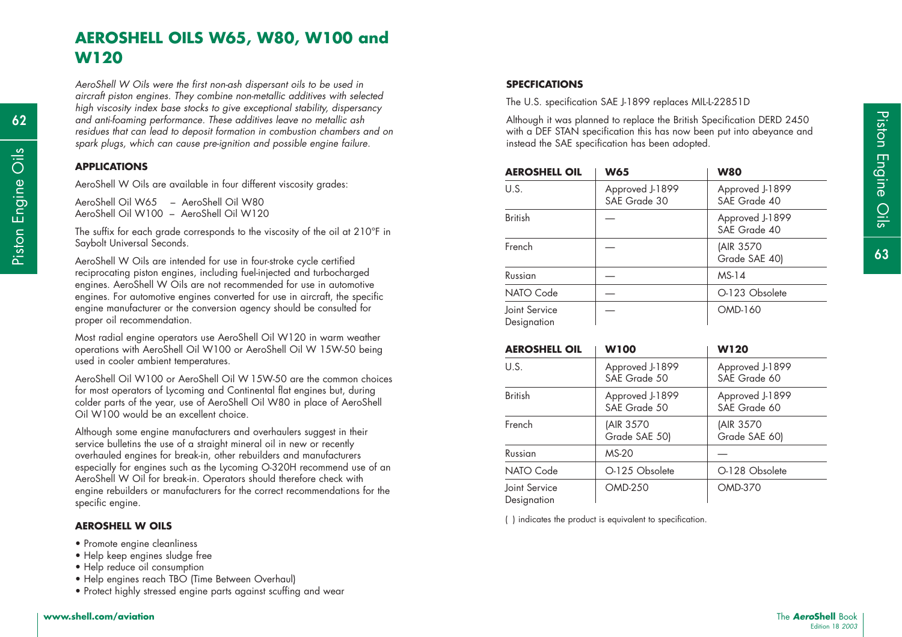# **AEROSHELL OILS W65, W80, W100 and W120**

*AeroShell W Oils were the first non-ash dispersant oils to be used in aircraft piston engines. They combine non-metallic additives with selected high viscosity index base stocks to give exceptional stability, dispersancy and anti-foaming performance. These additives leave no metallic ash residues that can lead to deposit formation in combustion chambers and on spark plugs, which can cause pre-ignition and possible engine failure.*

### **APPLICATIONS**

**62**

Most radial engine operators use AeroShell Oil W120 in warm weather operations with AeroShell Oil W100 or AeroShell Oil W 15W-50 being used in cooler ambient temperatures.

AeroShell Oil W100 or AeroShell Oil W 15W-50 are the common choices for most operators of Lycoming and Continental flat engines but, during colder parts of the year, use of AeroShell Oil W80 in place of AeroShell Oil W100 would be an excellent choice.

Although some engine manufacturers and overhaulers suggest in their service bulletins the use of a straight mineral oil in new or recently overhauled engines for break-in, other rebuilders and manufacturers especially for engines such as the Lycoming O-320H recommend use of an AeroShell W Oil for break-in. Operators should therefore check with engine rebuilders or manufacturers for the correct recommendations for the specific engine.

#### **AEROSHELL W OILS**

- Promote engine cleanliness
- Help keep engines sludge free
- Help reduce oil consumption
- Help engines reach TBO (Time Between Overhaul)
- Protect highly stressed engine parts against scuffing and wear

The U.S. specification SAE J-1899 replaces MIL-L-22851D

| 62     | and anti-foaming performance. These additives leave no metallic ash<br>residues that can lead to deposit formation in combustion chambers and on<br>spark plugs, which can cause pre-ignition and possible engine failure. | Although it was planned to replace the British Specification DERD 2450<br>with a DEF STAN specification this has now been put into abeyance and<br>instead the SAE specification has been adopted. |                 |                 |
|--------|----------------------------------------------------------------------------------------------------------------------------------------------------------------------------------------------------------------------------|----------------------------------------------------------------------------------------------------------------------------------------------------------------------------------------------------|-----------------|-----------------|
| Öİs    | <b>APPLICATIONS</b>                                                                                                                                                                                                        | <b>AEROSHELL OIL</b>                                                                                                                                                                               | <b>W65</b>      | <b>W80</b>      |
| Engine | AeroShell W Oils are available in four different viscosity grades:                                                                                                                                                         | U.S.                                                                                                                                                                                               | Approved J-1899 | Approved J-1899 |
|        | AeroShell Oil W65 - AeroShell Oil W80                                                                                                                                                                                      |                                                                                                                                                                                                    | SAE Grade 30    | SAE Grade 40    |
|        | AeroShell Oil W100 - AeroShell Oil W120                                                                                                                                                                                    | <b>British</b>                                                                                                                                                                                     |                 | Approved J-1899 |
|        | The suffix for each grade corresponds to the viscosity of the oil at 210°F in                                                                                                                                              |                                                                                                                                                                                                    |                 | SAE Grade 40    |
| Piston | Saybolt Universal Seconds.                                                                                                                                                                                                 | French                                                                                                                                                                                             |                 | (AIR 3570       |
|        | AeroShell W Oils are intended for use in four-stroke cycle certified<br>reciprocating piston engines, including fuel-injected and turbocharged                                                                             |                                                                                                                                                                                                    |                 | Grade SAE 40)   |
|        |                                                                                                                                                                                                                            | Russian                                                                                                                                                                                            |                 | MS-14           |
|        | engines. AeroShell W Oils are not recommended for use in automotive<br>engines. For automotive engines converted for use in aircraft, the specific                                                                         | NATO Code                                                                                                                                                                                          |                 | O-123 Obsolete  |
|        | engine manufacturer or the conversion agency should be consulted for<br>proper oil recommendation.                                                                                                                         | Joint Service<br>Designation                                                                                                                                                                       |                 | OMD-160         |

| <b>AEROSHELL OIL</b>         | <b>W100</b>                     | <b>W120</b>                     |
|------------------------------|---------------------------------|---------------------------------|
| U.S.                         | Approved J-1899<br>SAE Grade 50 | Approved J-1899<br>SAE Grade 60 |
| <b>British</b>               | Approved J-1899<br>SAE Grade 50 | Approved J-1899<br>SAE Grade 60 |
| French                       | (AIR 3570<br>Grade SAE 50)      | (AIR 3570<br>Grade SAE 60)      |
| Russian                      | <b>MS-20</b>                    |                                 |
| NATO Code                    | O-125 Obsolete                  | O-128 Obsolete                  |
| Joint Service<br>Designation | <b>OMD-250</b>                  | <b>OMD-370</b>                  |

( ) indicates the product is equivalent to specification.